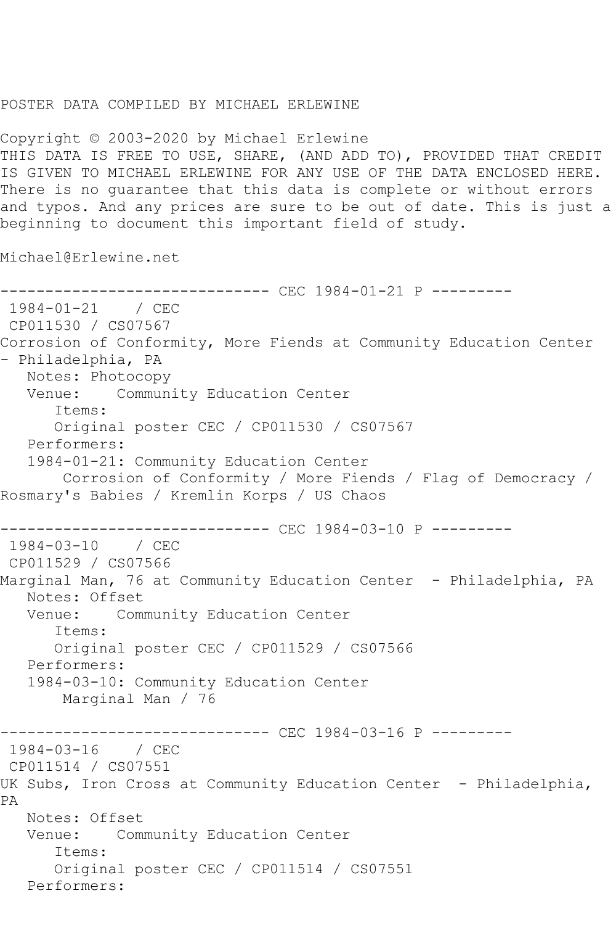## POSTER DATA COMPILED BY MICHAEL ERLEWINE

Copyright © 2003-2020 by Michael Erlewine THIS DATA IS FREE TO USE, SHARE, (AND ADD TO), PROVIDED THAT CREDIT IS GIVEN TO MICHAEL ERLEWINE FOR ANY USE OF THE DATA ENCLOSED HERE. There is no guarantee that this data is complete or without errors and typos. And any prices are sure to be out of date. This is just a beginning to document this important field of study.

Michael@Erlewine.net

```
------------------------------ CEC 1984-01-21 P ---------
1984-01-21 / CEC 
CP011530 / CS07567
Corrosion of Conformity, More Fiends at Community Education Center 
- Philadelphia, PA
   Notes: Photocopy
   Venue: Community Education Center
      Items:
      Original poster CEC / CP011530 / CS07567
   Performers:
   1984-01-21: Community Education Center
       Corrosion of Conformity / More Fiends / Flag of Democracy / 
Rosmary's Babies / Kremlin Korps / US Chaos
------------------------------ CEC 1984-03-10 P ---------
1984-03-10 / CEC 
CP011529 / CS07566
Marginal Man, 76 at Community Education Center - Philadelphia, PA
   Notes: Offset
   Venue: Community Education Center
      Items:
      Original poster CEC / CP011529 / CS07566
   Performers:
   1984-03-10: Community Education Center
       Marginal Man / 76
                   ----------- CEC 1984-03-16 P ---------
1984-03-16 / CEC 
CP011514 / CS07551
UK Subs, Iron Cross at Community Education Center - Philadelphia, 
PA
   Notes: Offset
   Venue: Community Education Center
      Items:
      Original poster CEC / CP011514 / CS07551
   Performers:
```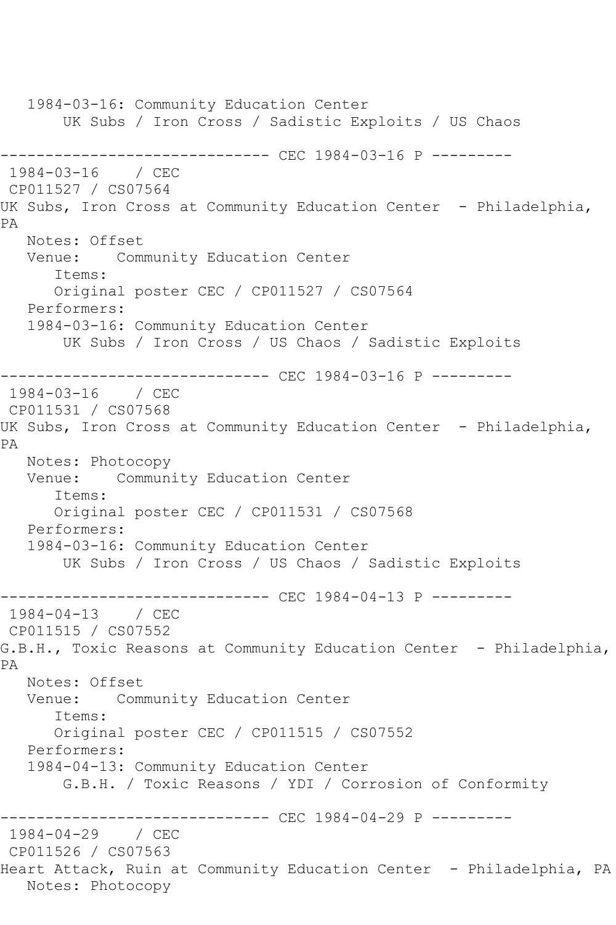1984-03-16: Community Education Center UK Subs / Iron Cross / Sadistic Exploits / US Chaos ------------------------------ CEC 1984-03-16 P --------- 1984-03-16 / CEC CP011527 / CS07564 UK Subs, Iron Cross at Community Education Center - Philadelphia, PA Notes: Offset Venue: Community Education Center Items: Original poster CEC / CP011527 / CS07564 Performers: 1984-03-16: Community Education Center UK Subs / Iron Cross / US Chaos / Sadistic Exploits ------------------------------ CEC 1984-03-16 P --------- 1984-03-16 / CEC CP011531 / CS07568 UK Subs, Iron Cross at Community Education Center - Philadelphia, PA Notes: Photocopy Venue: Community Education Center Items: Original poster CEC / CP011531 / CS07568 Performers: 1984-03-16: Community Education Center UK Subs / Iron Cross / US Chaos / Sadistic Exploits ------------------------------ CEC 1984-04-13 P --------- 1984-04-13 / CEC CP011515 / CS07552 G.B.H., Toxic Reasons at Community Education Center - Philadelphia, PA Notes: Offset Venue: Community Education Center Items: Original poster CEC / CP011515 / CS07552 Performers: 1984-04-13: Community Education Center G.B.H. / Toxic Reasons / YDI / Corrosion of Conformity --------------- CEC 1984-04-29 P ---------1984-04-29 / CEC CP011526 / CS07563 Heart Attack, Ruin at Community Education Center - Philadelphia, PA Notes: Photocopy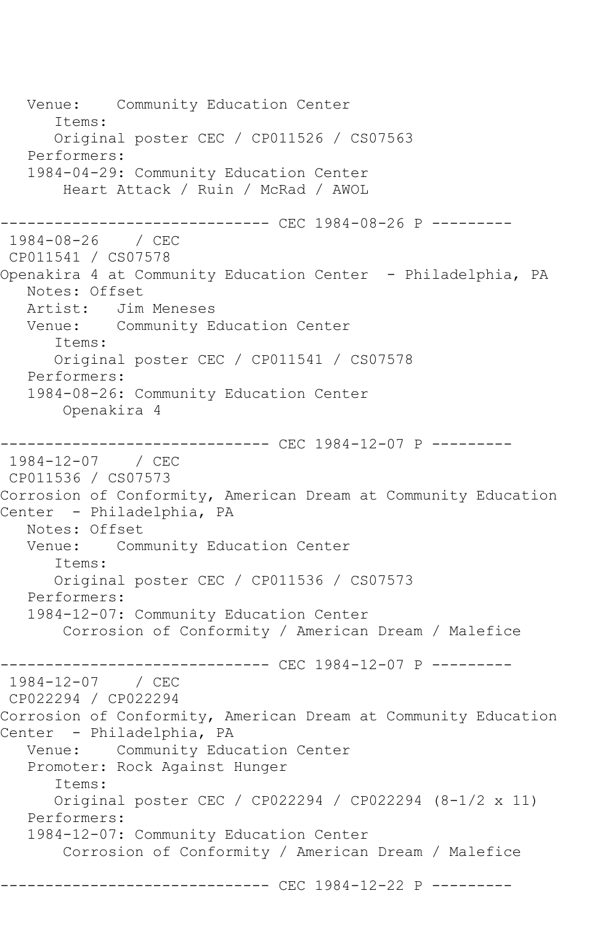Venue: Community Education Center Items: Original poster CEC / CP011526 / CS07563 Performers: 1984-04-29: Community Education Center Heart Attack / Ruin / McRad / AWOL ------------------------------ CEC 1984-08-26 P --------- 1984-08-26 / CEC CP011541 / CS07578 Openakira 4 at Community Education Center - Philadelphia, PA Notes: Offset Artist: Jim Meneses Venue: Community Education Center Items: Original poster CEC / CP011541 / CS07578 Performers: 1984-08-26: Community Education Center Openakira 4 ------------------------------ CEC 1984-12-07 P --------- 1984-12-07 / CEC CP011536 / CS07573 Corrosion of Conformity, American Dream at Community Education Center - Philadelphia, PA Notes: Offset Venue: Community Education Center Items: Original poster CEC / CP011536 / CS07573 Performers: 1984-12-07: Community Education Center Corrosion of Conformity / American Dream / Malefice ------------------------------ CEC 1984-12-07 P --------- 1984-12-07 / CEC CP022294 / CP022294 Corrosion of Conformity, American Dream at Community Education Center - Philadelphia, PA Venue: Community Education Center Promoter: Rock Against Hunger Items: Original poster CEC / CP022294 / CP022294 (8-1/2 x 11) Performers: 1984-12-07: Community Education Center Corrosion of Conformity / American Dream / Malefice ------------------------------ CEC 1984-12-22 P ---------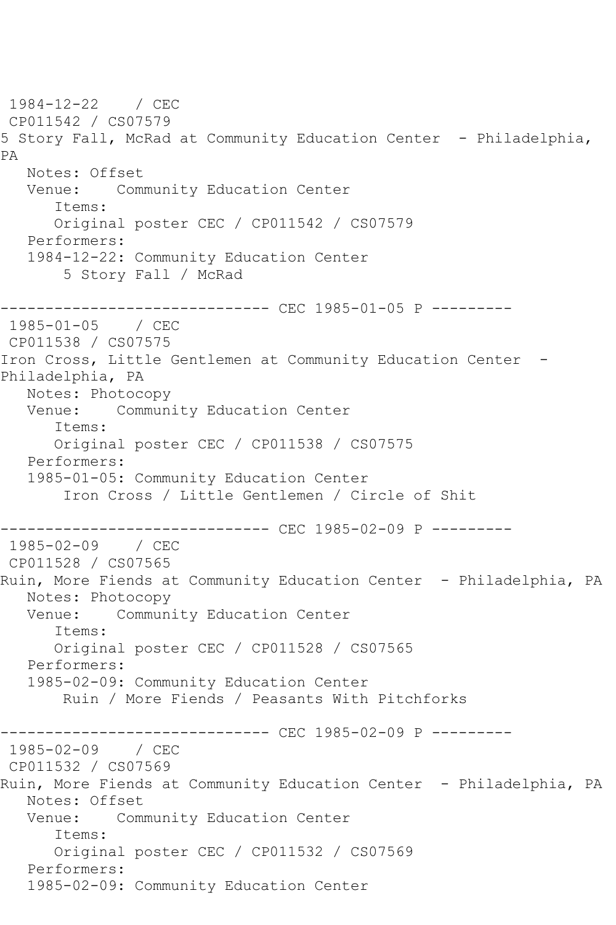1984-12-22 / CEC CP011542 / CS07579 5 Story Fall, McRad at Community Education Center - Philadelphia, PA Notes: Offset<br>Venue: Com Community Education Center Items: Original poster CEC / CP011542 / CS07579 Performers: 1984-12-22: Community Education Center 5 Story Fall / McRad ------------------------------ CEC 1985-01-05 P --------- 1985-01-05 / CEC CP011538 / CS07575 Iron Cross, Little Gentlemen at Community Education Center - Philadelphia, PA Notes: Photocopy Venue: Community Education Center Items: Original poster CEC / CP011538 / CS07575 Performers: 1985-01-05: Community Education Center Iron Cross / Little Gentlemen / Circle of Shit ------------------------------ CEC 1985-02-09 P ---------  $1985 - 02 - 09$ CP011528 / CS07565 Ruin, More Fiends at Community Education Center - Philadelphia, PA Notes: Photocopy Venue: Community Education Center Items: Original poster CEC / CP011528 / CS07565 Performers: 1985-02-09: Community Education Center Ruin / More Fiends / Peasants With Pitchforks ----------- CEC 1985-02-09 P ---------1985-02-09 / CEC CP011532 / CS07569 Ruin, More Fiends at Community Education Center - Philadelphia, PA Notes: Offset Venue: Community Education Center Items: Original poster CEC / CP011532 / CS07569 Performers: 1985-02-09: Community Education Center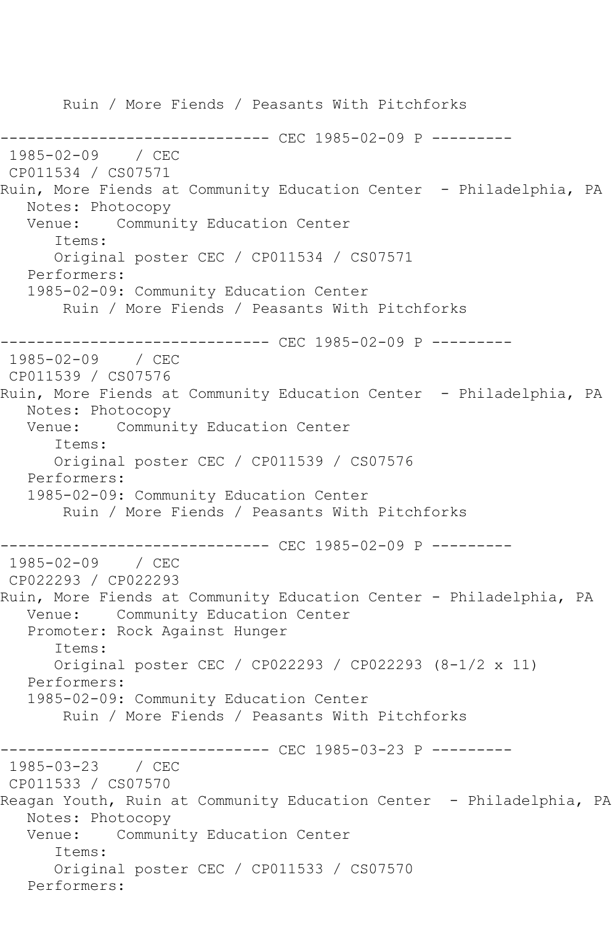Ruin / More Fiends / Peasants With Pitchforks ----------------- CEC 1985-02-09 P ---------1985-02-09 / CEC CP011534 / CS07571 Ruin, More Fiends at Community Education Center - Philadelphia, PA Notes: Photocopy Venue: Community Education Center Items: Original poster CEC / CP011534 / CS07571 Performers: 1985-02-09: Community Education Center Ruin / More Fiends / Peasants With Pitchforks ------------------------------ CEC 1985-02-09 P --------- 1985-02-09 / CEC CP011539 / CS07576 Ruin, More Fiends at Community Education Center - Philadelphia, PA Notes: Photocopy Venue: Community Education Center Items: Original poster CEC / CP011539 / CS07576 Performers: 1985-02-09: Community Education Center Ruin / More Fiends / Peasants With Pitchforks ------------------------------ CEC 1985-02-09 P --------- 1985-02-09 / CEC CP022293 / CP022293 Ruin, More Fiends at Community Education Center - Philadelphia, PA Venue: Community Education Center Promoter: Rock Against Hunger Items: Original poster CEC / CP022293 / CP022293 (8-1/2 x 11) Performers: 1985-02-09: Community Education Center Ruin / More Fiends / Peasants With Pitchforks ------------------------------ CEC 1985-03-23 P --------- 1985-03-23 / CEC CP011533 / CS07570 Reagan Youth, Ruin at Community Education Center - Philadelphia, PA Notes: Photocopy Venue: Community Education Center Items: Original poster CEC / CP011533 / CS07570 Performers: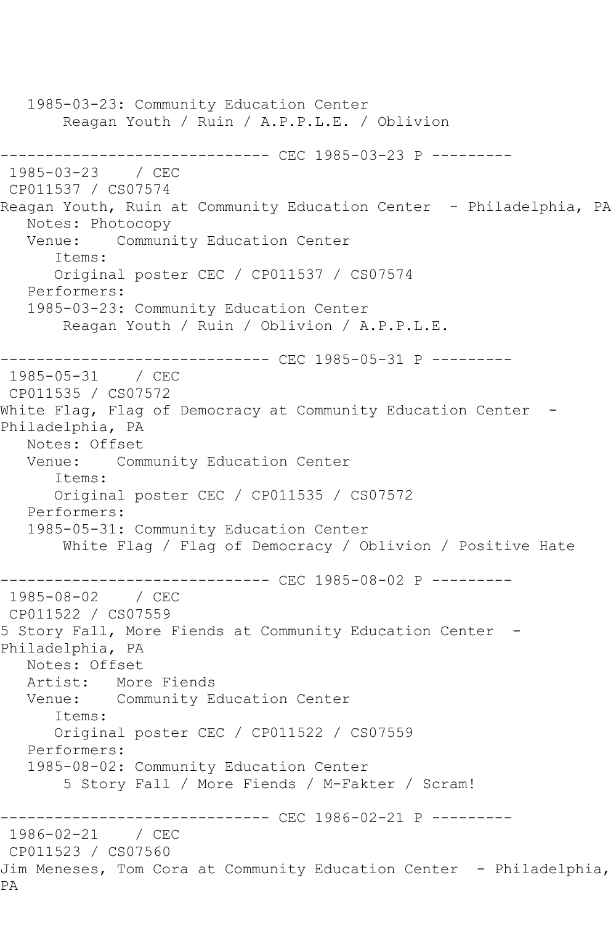1985-03-23: Community Education Center Reagan Youth / Ruin / A.P.P.L.E. / Oblivion ------------------------------ CEC 1985-03-23 P ---------  $1985 - 03 - 23$ CP011537 / CS07574 Reagan Youth, Ruin at Community Education Center - Philadelphia, PA Notes: Photocopy Venue: Community Education Center Items: Original poster CEC / CP011537 / CS07574 Performers: 1985-03-23: Community Education Center Reagan Youth / Ruin / Oblivion / A.P.P.L.E. ------------------------------ CEC 1985-05-31 P --------- 1985-05-31 / CEC CP011535 / CS07572 White Flag, Flag of Democracy at Community Education Center -Philadelphia, PA Notes: Offset Venue: Community Education Center Items: Original poster CEC / CP011535 / CS07572 Performers: 1985-05-31: Community Education Center White Flag / Flag of Democracy / Oblivion / Positive Hate ------------------------------ CEC 1985-08-02 P --------- 1985-08-02 / CEC CP011522 / CS07559 5 Story Fall, More Fiends at Community Education Center - Philadelphia, PA Notes: Offset Artist: More Fiends Venue: Community Education Center Items: Original poster CEC / CP011522 / CS07559 Performers: 1985-08-02: Community Education Center 5 Story Fall / More Fiends / M-Fakter / Scram! ------------------------------ CEC 1986-02-21 P --------- 1986-02-21 / CEC CP011523 / CS07560 Jim Meneses, Tom Cora at Community Education Center - Philadelphia, PA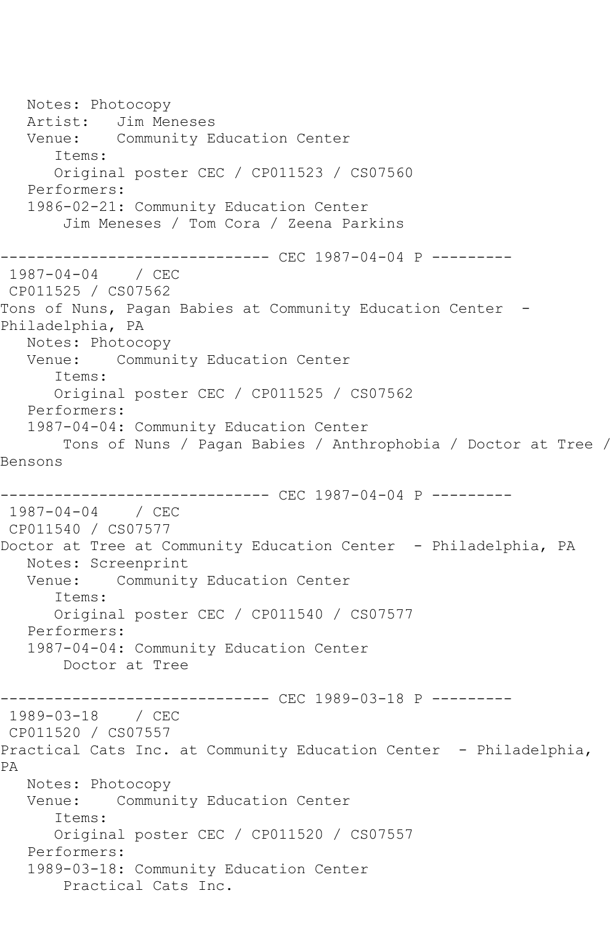Notes: Photocopy Artist: Jim Meneses Venue: Community Education Center Items: Original poster CEC / CP011523 / CS07560 Performers: 1986-02-21: Community Education Center Jim Meneses / Tom Cora / Zeena Parkins ------------------------------ CEC 1987-04-04 P --------- 1987-04-04 / CEC CP011525 / CS07562 Tons of Nuns, Pagan Babies at Community Education Center -Philadelphia, PA Notes: Photocopy Venue: Community Education Center Items: Original poster CEC / CP011525 / CS07562 Performers: 1987-04-04: Community Education Center Tons of Nuns / Pagan Babies / Anthrophobia / Doctor at Tree / Bensons ------------------------------ CEC 1987-04-04 P --------- 1987-04-04 / CEC CP011540 / CS07577 Doctor at Tree at Community Education Center - Philadelphia, PA Notes: Screenprint Venue: Community Education Center Items: Original poster CEC / CP011540 / CS07577 Performers: 1987-04-04: Community Education Center Doctor at Tree ------------------------------ CEC 1989-03-18 P --------- 1989-03-18 / CEC CP011520 / CS07557 Practical Cats Inc. at Community Education Center - Philadelphia, PA Notes: Photocopy Venue: Community Education Center Items: Original poster CEC / CP011520 / CS07557 Performers: 1989-03-18: Community Education Center Practical Cats Inc.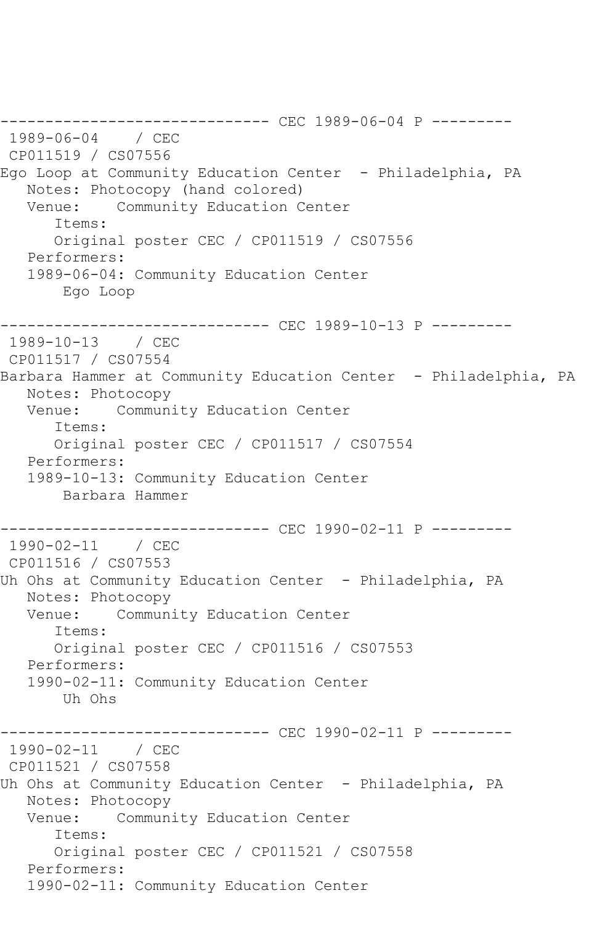------------------------------ CEC 1989-06-04 P --------- 1989-06-04 / CEC CP011519 / CS07556 Ego Loop at Community Education Center - Philadelphia, PA Notes: Photocopy (hand colored) Venue: Community Education Center Items: Original poster CEC / CP011519 / CS07556 Performers: 1989-06-04: Community Education Center Ego Loop ------------------------------ CEC 1989-10-13 P --------- 1989-10-13 / CEC CP011517 / CS07554 Barbara Hammer at Community Education Center - Philadelphia, PA Notes: Photocopy Venue: Community Education Center Items: Original poster CEC / CP011517 / CS07554 Performers: 1989-10-13: Community Education Center Barbara Hammer ------------------------------ CEC 1990-02-11 P --------- 1990-02-11 / CEC CP011516 / CS07553 Uh Ohs at Community Education Center - Philadelphia, PA Notes: Photocopy Venue: Community Education Center Items: Original poster CEC / CP011516 / CS07553 Performers: 1990-02-11: Community Education Center Uh Ohs ----------- CEC 1990-02-11 P ---------1990-02-11 / CEC CP011521 / CS07558 Uh Ohs at Community Education Center - Philadelphia, PA Notes: Photocopy Venue: Community Education Center Items: Original poster CEC / CP011521 / CS07558 Performers: 1990-02-11: Community Education Center